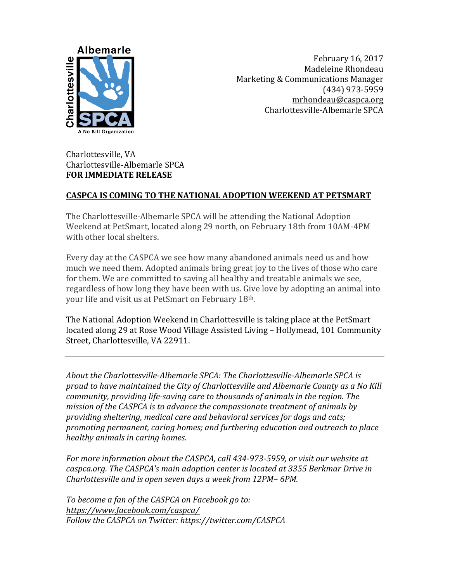

February 16, 2017 Madeleine Rhondeau Marketing & Communications Manager (434) 973-5959 mrhondeau@caspca.org Charlottesville-Albemarle SPCA

Charlottesville, VA Charlottesville-Albemarle SPCA **FOR IMMEDIATE RELEASE** 

## **CASPCA IS COMING TO THE NATIONAL ADOPTION WEEKEND AT PETSMART**

The Charlottesville-Albemarle SPCA will be attending the National Adoption Weekend at PetSmart, located along 29 north, on February 18th from 10AM-4PM with other local shelters.

Every day at the CASPCA we see how many abandoned animals need us and how much we need them. Adopted animals bring great joy to the lives of those who care for them. We are committed to saving all healthy and treatable animals we see, regardless of how long they have been with us. Give love by adopting an animal into your life and visit us at PetSmart on February 18th.

The National Adoption Weekend in Charlottesville is taking place at the PetSmart located along 29 at Rose Wood Village Assisted Living - Hollymead, 101 Community Street, Charlottesville, VA 22911.

About the Charlottesville-Albemarle SPCA: The Charlottesville-Albemarle SPCA is proud to have maintained the City of Charlottesville and Albemarle County as a No Kill *community, providing life-saving care to thousands of animals in the region. The mission of the CASPCA is to advance the compassionate treatment of animals by* providing sheltering, medical care and behavioral services for dogs and cats; promoting permanent, caring homes; and furthering education and outreach to place *healthy animals in caring homes.*

For more information about the CASPCA, call 434-973-5959, or visit our website at *caspca.org.* The CASPCA's main adoption center is located at 3355 Berkmar Drive in *Charlottesville and is open seven days a week from 12PM-6PM.* 

To become a fan of the CASPCA on Facebook go to: *https://www.facebook.com/caspca/* Follow the CASPCA on Twitter: https://twitter.com/CASPCA